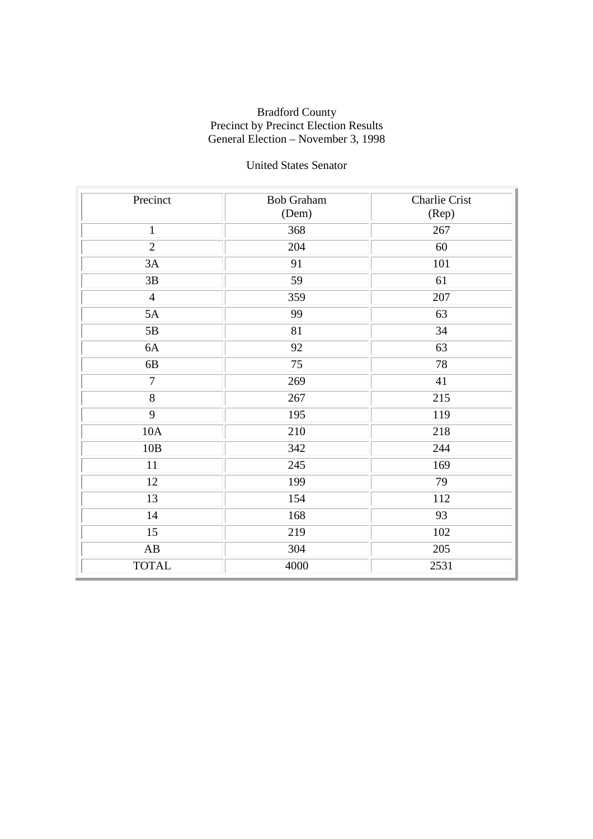### United States Senator

| Precinct               | <b>Bob Graham</b> | <b>Charlie Crist</b> |
|------------------------|-------------------|----------------------|
|                        | (Dem)             | (Rep)                |
| $\mathbf{1}$           | 368               | 267                  |
| $\overline{2}$         | 204               | 60                   |
| 3A                     | 91                | 101                  |
| $3\mathrm{B}$          | 59                | 61                   |
| $\overline{4}$         | 359               | 207                  |
| 5A                     | 99                | 63                   |
| 5B                     | 81                | 34                   |
| 6A                     | 92                | 63                   |
| 6B                     | 75                | 78                   |
| $\overline{7}$         | 269               | 41                   |
| $\overline{8}$         | 267               | 215                  |
| 9                      | 195               | 119                  |
| $10A$                  | 210               | 218                  |
| 10B                    | 342               | 244                  |
| $11\,$                 | 245               | 169                  |
| 12                     | 199               | 79                   |
| 13                     | 154               | 112                  |
| 14                     | 168               | 93                   |
| $\overline{15}$        | 219               | 102                  |
| $\mathbf{A}\mathbf{B}$ | 304               | 205                  |
| <b>TOTAL</b>           | 4000              | 2531                 |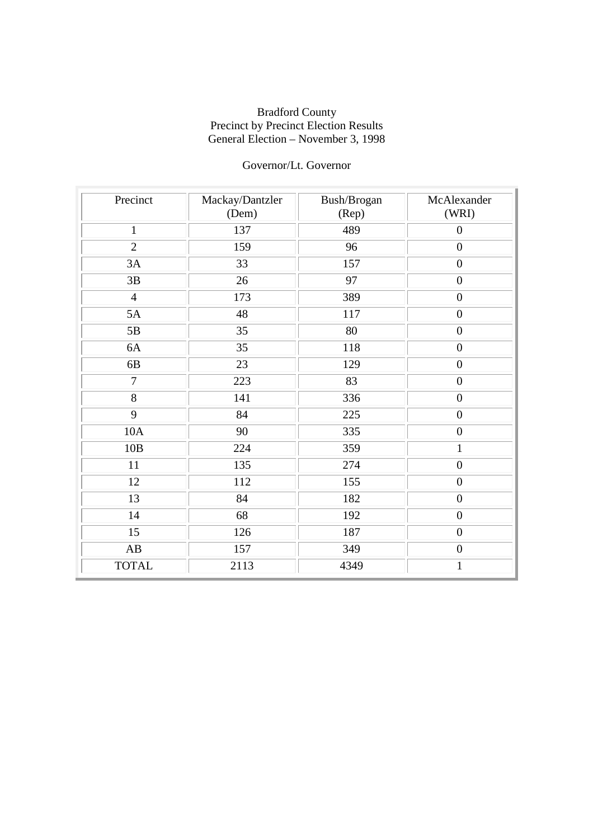## Governor/Lt. Governor

| Precinct        | Mackay/Dantzler<br>(Dem) | Bush/Brogan<br>(Rep) | McAlexander<br>(WRI) |
|-----------------|--------------------------|----------------------|----------------------|
| $\mathbf{1}$    | 137                      | 489                  | $\overline{0}$       |
| $\overline{2}$  | 159                      | 96                   | $\boldsymbol{0}$     |
| 3A              | 33                       | 157                  | $\boldsymbol{0}$     |
| 3B              | 26                       | 97                   | $\overline{0}$       |
| $\overline{4}$  | 173                      | 389                  | $\boldsymbol{0}$     |
| 5A              | 48                       | 117                  | $\boldsymbol{0}$     |
| 5B              | 35                       | 80                   | $\boldsymbol{0}$     |
| 6A              | 35                       | 118                  | $\boldsymbol{0}$     |
| 6B              | 23                       | 129                  | $\boldsymbol{0}$     |
| $\overline{7}$  | 223                      | 83                   | $\boldsymbol{0}$     |
| 8               | 141                      | 336                  | $\boldsymbol{0}$     |
| 9               | 84                       | 225                  | $\boldsymbol{0}$     |
| 10A             | 90                       | 335                  | $\overline{0}$       |
| 10B             | 224                      | 359                  | $\mathbf{1}$         |
| 11              | 135                      | 274                  | $\boldsymbol{0}$     |
| 12              | 112                      | 155                  | $\boldsymbol{0}$     |
| 13              | 84                       | 182                  | $\overline{0}$       |
| 14              | 68                       | 192                  | $\boldsymbol{0}$     |
| $\overline{15}$ | 126                      | 187                  | $\boldsymbol{0}$     |
| AB              | 157                      | 349                  | $\boldsymbol{0}$     |
| <b>TOTAL</b>    | 2113                     | 4349                 | $\mathbf{1}$         |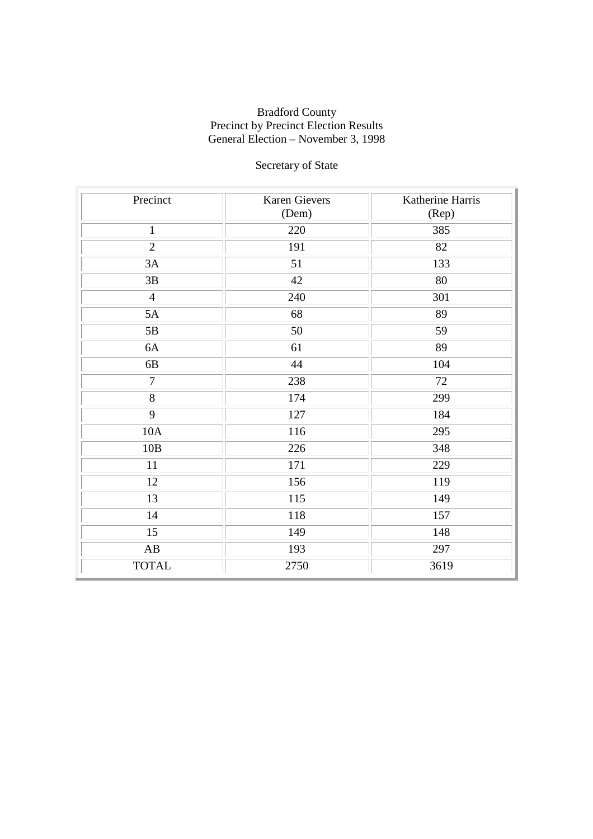# Secretary of State

| Precinct               | Karen Gievers<br>(Dem) | Katherine Harris<br>(Rep) |
|------------------------|------------------------|---------------------------|
| $\mathbf{1}$           | 220                    | 385                       |
| $\overline{2}$         | 191                    | 82                        |
| 3A                     | 51                     | 133                       |
| 3B                     | 42                     | 80                        |
| $\overline{4}$         | 240                    | 301                       |
| 5A                     | 68                     | 89                        |
| 5B                     | 50                     | 59                        |
| $6A$                   | 61                     | 89                        |
| 6B                     | 44                     | 104                       |
| $\tau$                 | 238                    | $72\,$                    |
| 8                      | 174                    | 299                       |
| $\overline{9}$         | 127                    | 184                       |
| 10A                    | 116                    | 295                       |
| 10B                    | 226                    | 348                       |
| 11                     | 171                    | 229                       |
| 12                     | 156                    | 119                       |
| 13                     | 115                    | 149                       |
| 14                     | 118                    | 157                       |
| $\overline{15}$        | 149                    | 148                       |
| $\mathbf{A}\mathbf{B}$ | 193                    | 297                       |
| <b>TOTAL</b>           | 2750                   | 3619                      |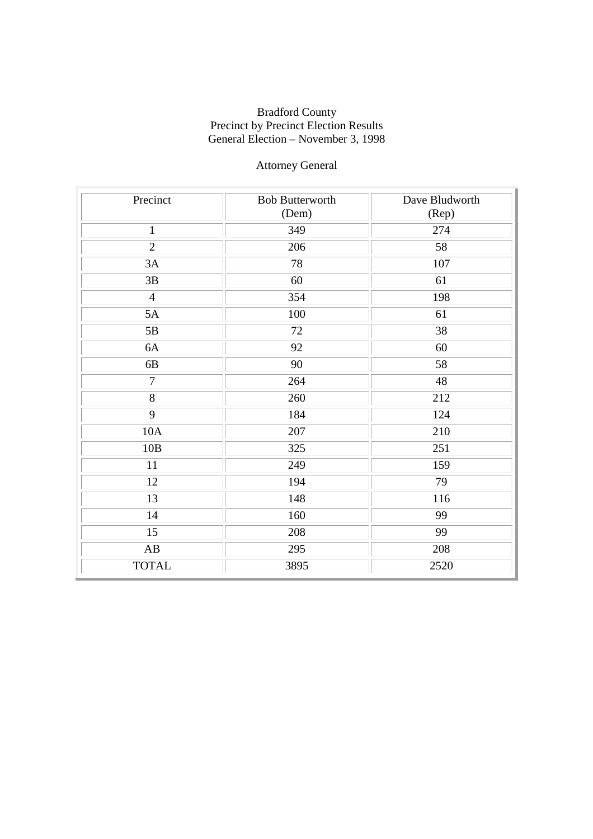## Attorney General

| Precinct               | <b>Bob Butterworth</b><br>(Dem) | Dave Bludworth<br>(Rep) |
|------------------------|---------------------------------|-------------------------|
| $\mathbf{1}$           | 349                             | 274                     |
| $\overline{2}$         | 206                             | 58                      |
| 3A                     | 78                              | 107                     |
| 3B                     | 60                              | 61                      |
| $\overline{4}$         | 354                             | 198                     |
| 5A                     | 100                             | 61                      |
| $5\mathrm{B}$          | 72                              | 38                      |
| 6A                     | 92                              | 60                      |
| 6B                     | 90                              | 58                      |
| $\overline{7}$         | 264                             | 48                      |
| 8                      | 260                             | 212                     |
| $\overline{9}$         | 184                             | 124                     |
| 10A                    | 207                             | 210                     |
| 10B                    | 325                             | 251                     |
| 11                     | 249                             | 159                     |
| 12                     | 194                             | 79                      |
| 13                     | 148                             | 116                     |
| 14                     | 160                             | 99                      |
| $\overline{15}$        | 208                             | 99                      |
| $\mathbf{A}\mathbf{B}$ | 295                             | 208                     |
| <b>TOTAL</b>           | 3895                            | 2520                    |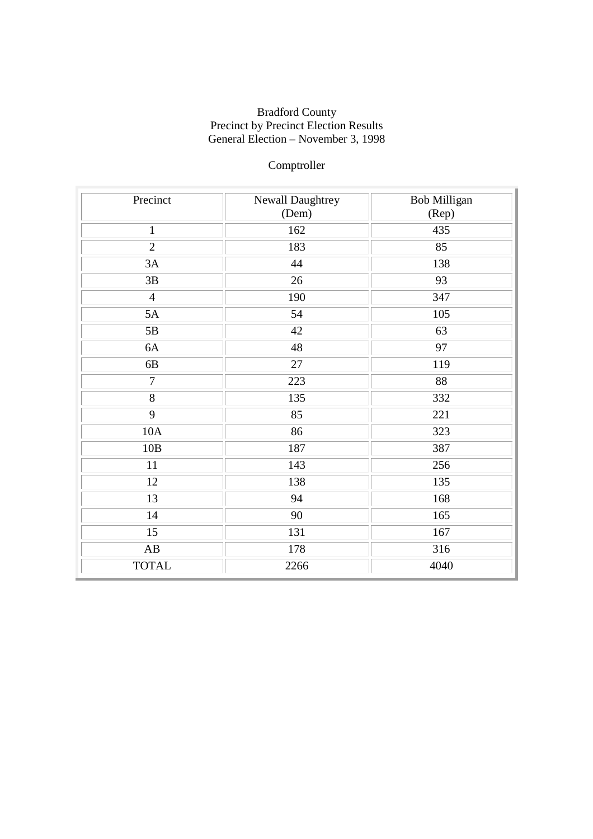## Comptroller

| Precinct               | Newall Daughtrey | <b>Bob Milligan</b> |
|------------------------|------------------|---------------------|
|                        | (Dem)            | (Rep)               |
| $\mathbf{1}$           | 162              | 435                 |
| $\overline{2}$         | 183              | 85                  |
| 3A                     | 44               | 138                 |
| $3\mathrm{B}$          | 26               | 93                  |
| $\overline{4}$         | 190              | 347                 |
| 5A                     | 54               | 105                 |
| $5\mathrm{B}$          | 42               | 63                  |
| 6A                     | 48               | 97                  |
| 6B                     | 27               | 119                 |
| $\tau$                 | 223              | 88                  |
| 8                      | 135              | 332                 |
| $\overline{9}$         | 85               | 221                 |
| 10A                    | 86               | 323                 |
| 10B                    | 187              | 387                 |
| 11                     | 143              | 256                 |
| 12                     | 138              | 135                 |
| 13                     | 94               | 168                 |
| 14                     | 90               | 165                 |
| 15                     | 131              | 167                 |
| $\mathbf{A}\mathbf{B}$ | 178              | 316                 |
| <b>TOTAL</b>           | 2266             | 4040                |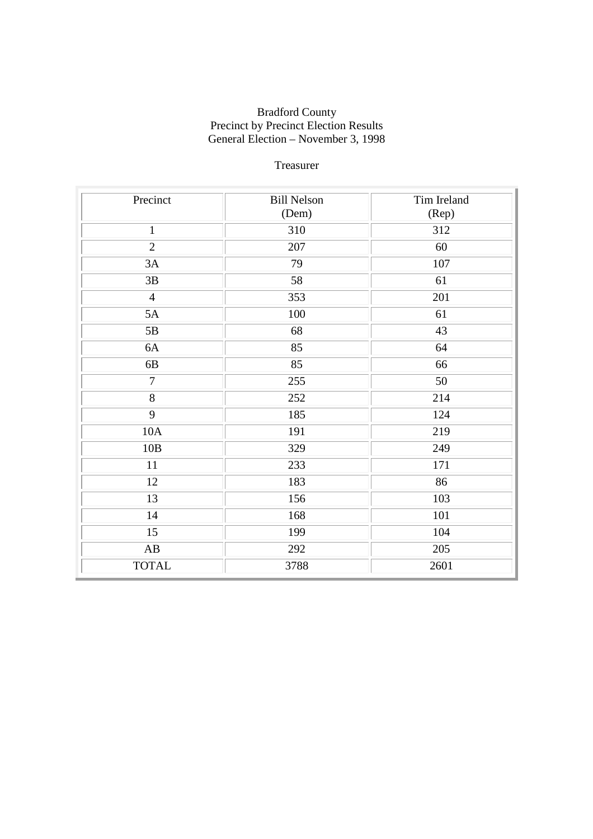### Treasurer

| Precinct               | <b>Bill Nelson</b> | Tim Ireland |
|------------------------|--------------------|-------------|
|                        | (Dem)              | (Rep)       |
| $\mathbf{1}$           | 310                | 312         |
| $\overline{2}$         | 207                | 60          |
| 3A                     | 79                 | 107         |
| 3B                     | 58                 | 61          |
| $\overline{4}$         | 353                | 201         |
| 5A                     | 100                | 61          |
| 5B                     | 68                 | 43          |
| 6A                     | 85                 | 64          |
| $6B$                   | 85                 | 66          |
| $\overline{7}$         | 255                | 50          |
| $\overline{8}$         | 252                | 214         |
| 9                      | 185                | 124         |
| 10A                    | 191                | 219         |
| 10B                    | 329                | 249         |
| 11                     | 233                | 171         |
| 12                     | 183                | 86          |
| $\overline{13}$        | 156                | 103         |
| 14                     | 168                | 101         |
| $\overline{15}$        | 199                | 104         |
| $\mathbf{A}\mathbf{B}$ | 292                | 205         |
| <b>TOTAL</b>           | 3788               | 2601        |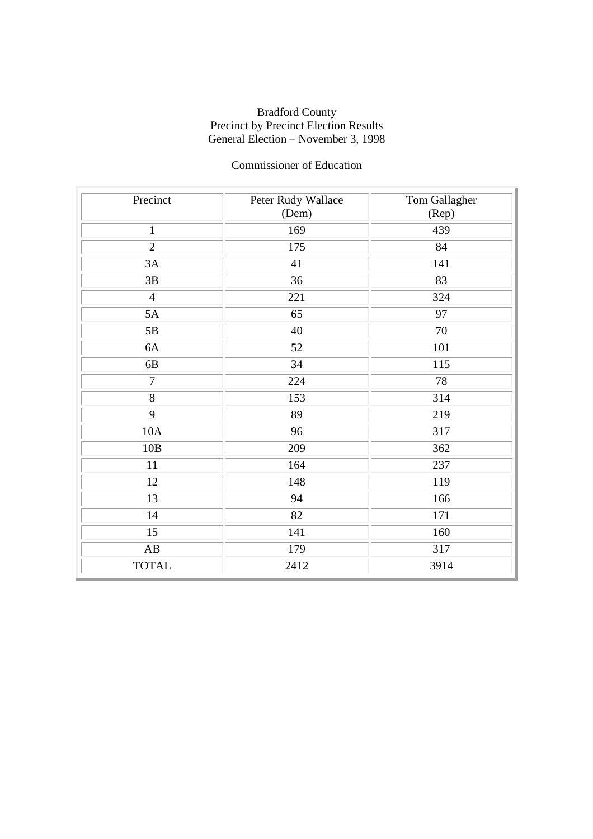### Commissioner of Education

| Precinct               | Peter Rudy Wallace<br>(Dem) | Tom Gallagher<br>(Rep) |
|------------------------|-----------------------------|------------------------|
|                        |                             |                        |
| $\mathbf{1}$           | 169                         | 439                    |
| $\overline{2}$         | 175                         | 84                     |
| 3A                     | 41                          | 141                    |
| 3B                     | 36                          | 83                     |
| $\overline{4}$         | 221                         | 324                    |
| 5A                     | 65                          | 97                     |
| 5B                     | 40                          | 70                     |
| 6A                     | 52                          | 101                    |
| 6B                     | 34                          | 115                    |
| $\overline{7}$         | 224                         | 78                     |
| 8                      | 153                         | 314                    |
| 9                      | 89                          | 219                    |
| 10A                    | 96                          | 317                    |
| 10B                    | 209                         | 362                    |
| 11                     | 164                         | 237                    |
| 12                     | 148                         | 119                    |
| 13                     | 94                          | 166                    |
| 14                     | 82                          | 171                    |
| $\overline{15}$        | 141                         | 160                    |
| $\mathbf{A}\mathbf{B}$ | 179                         | 317                    |
| <b>TOTAL</b>           | 2412                        | 3914                   |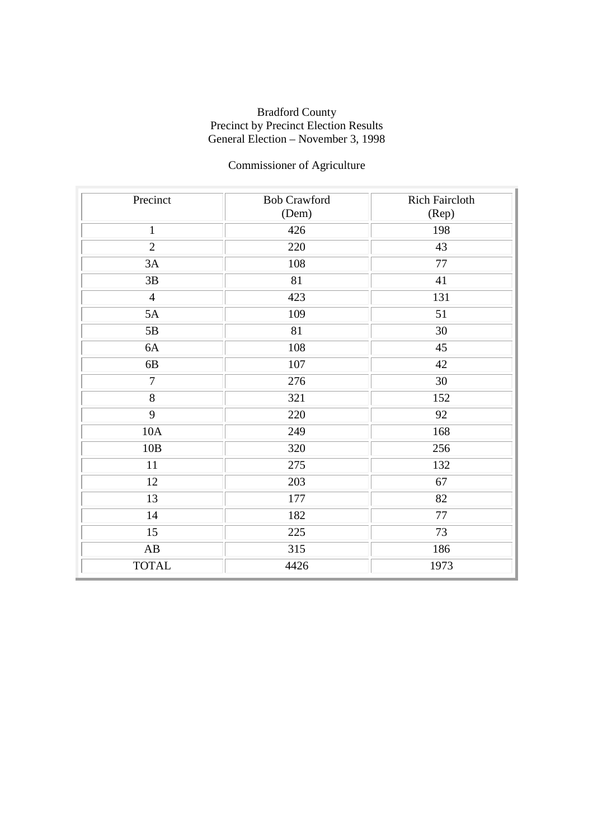# Commissioner of Agriculture

| Precinct               | <b>Bob Crawford</b> | <b>Rich Faircloth</b> |
|------------------------|---------------------|-----------------------|
|                        | (Dem)               | (Rep)                 |
| $\mathbf{1}$           | 426                 | 198                   |
| $\overline{2}$         | 220                 | 43                    |
| 3A                     | 108                 | $77 \,$               |
| $3\mathrm{B}$          | 81                  | 41                    |
| $\overline{4}$         | 423                 | 131                   |
| 5A                     | 109                 | 51                    |
| 5B                     | 81                  | 30                    |
| 6A                     | 108                 | 45                    |
| 6B                     | 107                 | 42                    |
| $\overline{7}$         | 276                 | 30                    |
| $\overline{8}$         | 321                 | 152                   |
| 9                      | 220                 | 92                    |
| 10A                    | 249                 | 168                   |
| 10B                    | 320                 | 256                   |
| 11                     | 275                 | 132                   |
| 12                     | 203                 | 67                    |
| 13                     | 177                 | 82                    |
| 14                     | 182                 | $77 \,$               |
| $\overline{15}$        | 225                 | $\overline{73}$       |
| $\mathbf{A}\mathbf{B}$ | 315                 | 186                   |
| <b>TOTAL</b>           | 4426                | 1973                  |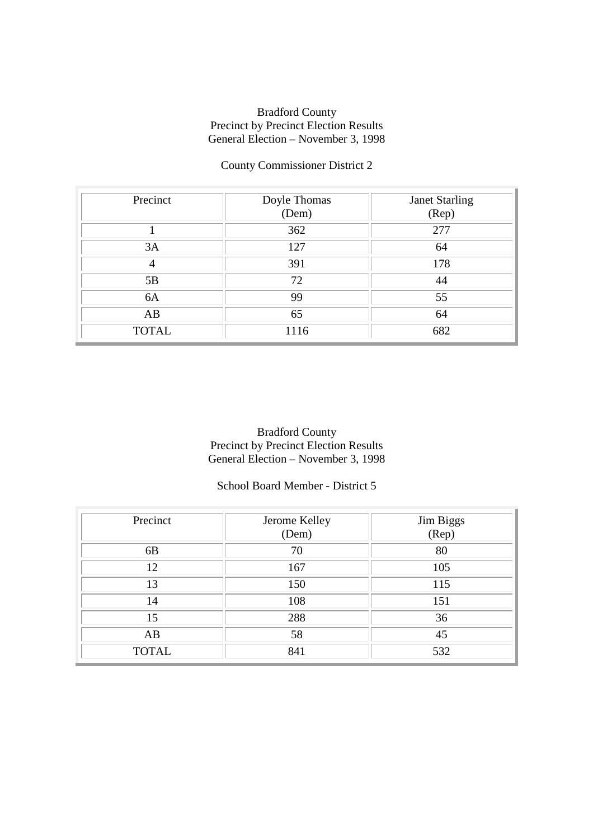## County Commissioner District 2

| Precinct     | Doyle Thomas<br>(Dem) | <b>Janet Starling</b><br>(Rep) |
|--------------|-----------------------|--------------------------------|
|              | 362                   | 277                            |
| 3A           | 127                   | 64                             |
|              | 391                   | 178                            |
| 5B           | 72                    | 44                             |
| 6A           | 99                    | 55                             |
| AB           | 65                    | 64                             |
| <b>TOTAL</b> | 1116                  | 682                            |

Bradford County Precinct by Precinct Election Results General Election – November 3, 1998

### School Board Member - District 5

| Precinct       | Jerome Kelley<br>(Dem) | Jim Biggs<br>(Rep) |
|----------------|------------------------|--------------------|
| 6 <sub>B</sub> | 70                     | 80                 |
| 12             | 167                    | 105                |
| 13             | 150                    | 115                |
| 14             | 108                    | 151                |
| 15             | 288                    | 36                 |
| AB             | 58                     | 45                 |
| <b>TOTAL</b>   | 841                    | 532                |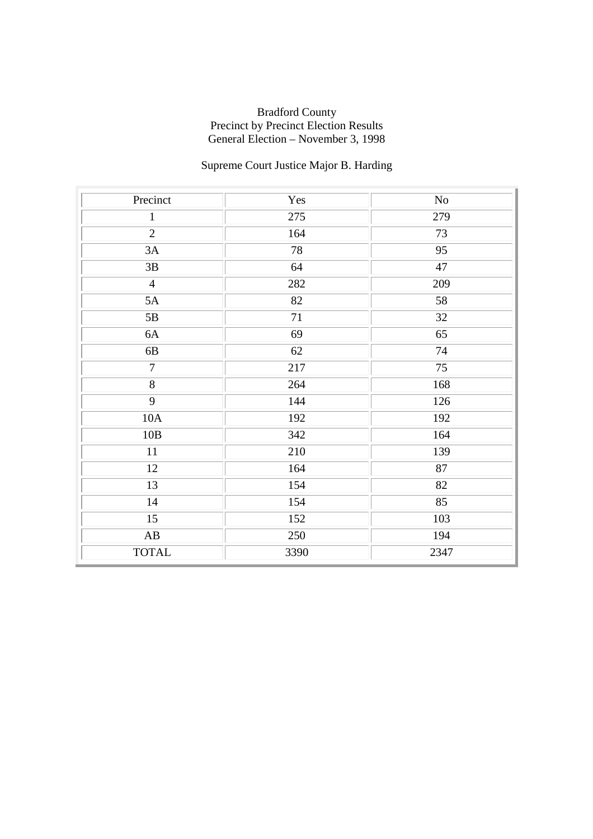# Supreme Court Justice Major B. Harding

| Precinct               | Yes  | $\rm No$        |
|------------------------|------|-----------------|
| $\mathbf{1}$           | 275  | 279             |
| $\overline{2}$         | 164  | 73              |
| 3A                     | 78   | 95              |
| $3\mathrm{B}$          | 64   | 47              |
| $\overline{4}$         | 282  | 209             |
| 5A                     | 82   | 58              |
| 5B                     | 71   | 32              |
| 6A                     | 69   | 65              |
| 6B                     | 62   | 74              |
| $\overline{7}$         | 217  | $\overline{75}$ |
| $\overline{8}$         | 264  | 168             |
| $\overline{9}$         | 144  | 126             |
| 10A                    | 192  | 192             |
| $10B$                  | 342  | 164             |
| $11\,$                 | 210  | 139             |
| 12                     | 164  | 87              |
| 13                     | 154  | 82              |
| 14                     | 154  | 85              |
| $\overline{15}$        | 152  | 103             |
| $\mathbf{A}\mathbf{B}$ | 250  | 194             |
| <b>TOTAL</b>           | 3390 | 2347            |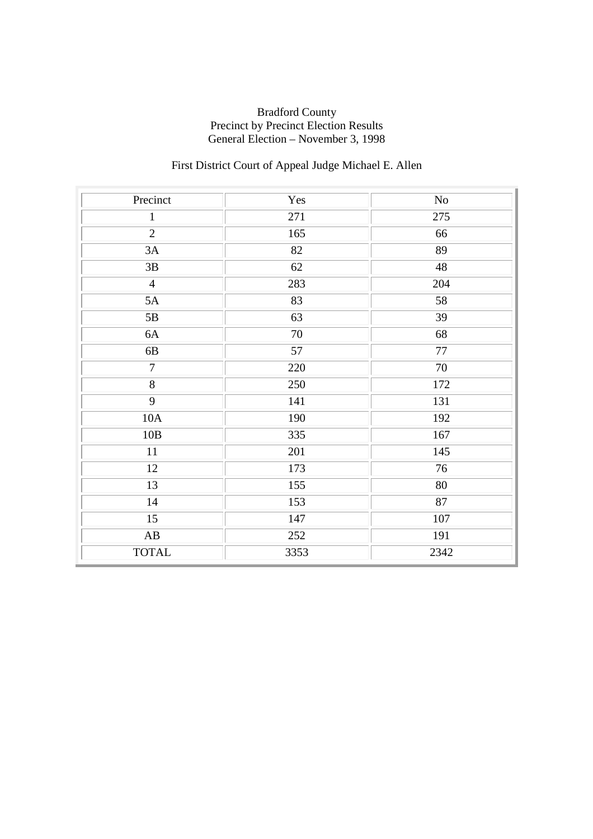## First District Court of Appeal Judge Michael E. Allen

| Precinct               | Yes  | No               |
|------------------------|------|------------------|
| $\mathbf{1}$           | 271  | 275              |
| $\overline{2}$         | 165  | 66               |
| 3A                     | 82   | 89               |
| $3\mathrm{B}$          | 62   | 48               |
| $\overline{4}$         | 283  | 204              |
| 5A                     | 83   | 58               |
| 5B                     | 63   | 39               |
| 6A                     | 70   | 68               |
| $6\mathrm{B}$          | 57   | $77\,$           |
| $\overline{7}$         | 220  | $\overline{70}$  |
| $\overline{8}$         | 250  | 172              |
| 9                      | 141  | 131              |
| 10A                    | 190  | 192              |
| 10B                    | 335  | 167              |
| $11\,$                 | 201  | 145              |
| 12                     | 173  | 76               |
| 13                     | 155  | 80               |
| 14                     | 153  | 87               |
| $\overline{15}$        | 147  | $\overline{107}$ |
| $\mathbf{A}\mathbf{B}$ | 252  | 191              |
| <b>TOTAL</b>           | 3353 | 2342             |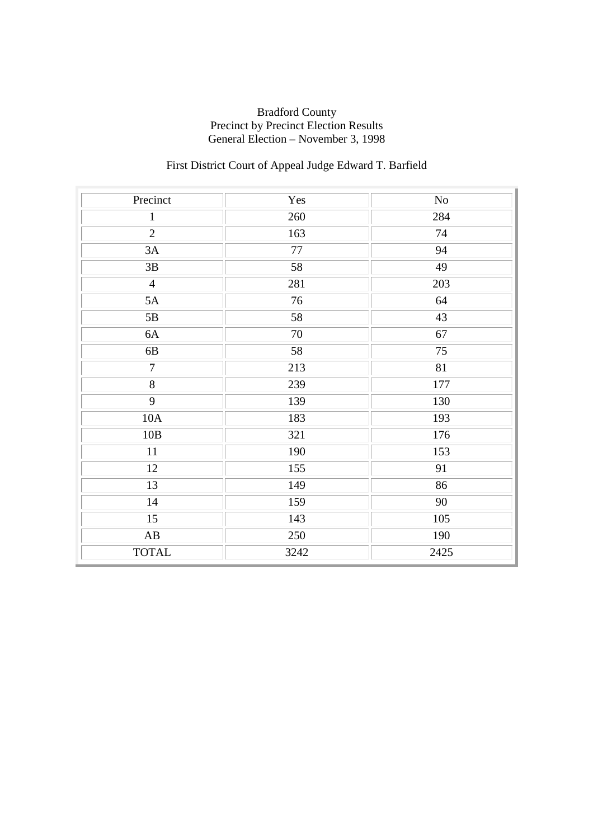## First District Court of Appeal Judge Edward T. Barfield

| Precinct               | Yes  | $\rm No$        |
|------------------------|------|-----------------|
| $\mathbf{1}$           | 260  | 284             |
| $\overline{2}$         | 163  | 74              |
| 3A                     | 77   | 94              |
| $3\mathrm{B}$          | 58   | 49              |
| $\overline{4}$         | 281  | 203             |
| 5A                     | 76   | 64              |
| $5\mathrm{B}$          | 58   | 43              |
| 6A                     | 70   | 67              |
| 6B                     | 58   | 75              |
| $\overline{7}$         | 213  | $\overline{81}$ |
| $\overline{8}$         | 239  | 177             |
| $\overline{9}$         | 139  | 130             |
| 10A                    | 183  | 193             |
| 10B                    | 321  | 176             |
| 11                     | 190  | 153             |
| 12                     | 155  | 91              |
| 13                     | 149  | 86              |
| 14                     | 159  | 90              |
| $\overline{15}$        | 143  | 105             |
| $\mathbf{A}\mathbf{B}$ | 250  | 190             |
| <b>TOTAL</b>           | 3242 | 2425            |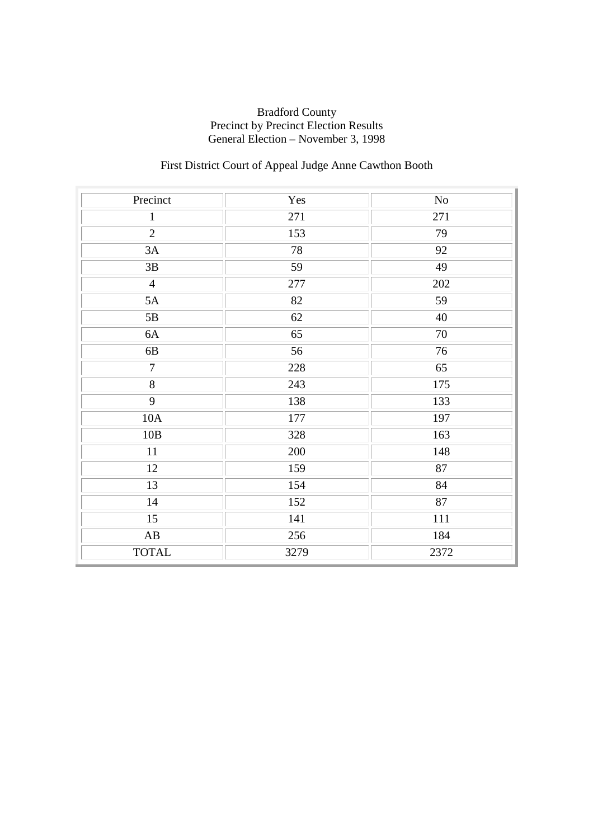## First District Court of Appeal Judge Anne Cawthon Booth

| Precinct               | Yes  | $\rm No$ |
|------------------------|------|----------|
| $\mathbf{1}$           | 271  | 271      |
| $\overline{2}$         | 153  | 79       |
| 3A                     | 78   | 92       |
| 3B                     | 59   | 49       |
| $\overline{4}$         | 277  | 202      |
| 5A                     | 82   | 59       |
| $5\mathrm{B}$          | 62   | 40       |
| 6A                     | 65   | 70       |
| 6B                     | 56   | 76       |
| $\overline{7}$         | 228  | 65       |
| $\overline{8}$         | 243  | 175      |
| $\overline{9}$         | 138  | 133      |
| 10A                    | 177  | 197      |
| 10B                    | 328  | 163      |
| 11                     | 200  | 148      |
| 12                     | 159  | 87       |
| 13                     | 154  | 84       |
| 14                     | 152  | 87       |
| $\overline{15}$        | 141  | 111      |
| $\mathbf{A}\mathbf{B}$ | 256  | 184      |
| <b>TOTAL</b>           | 3279 | 2372     |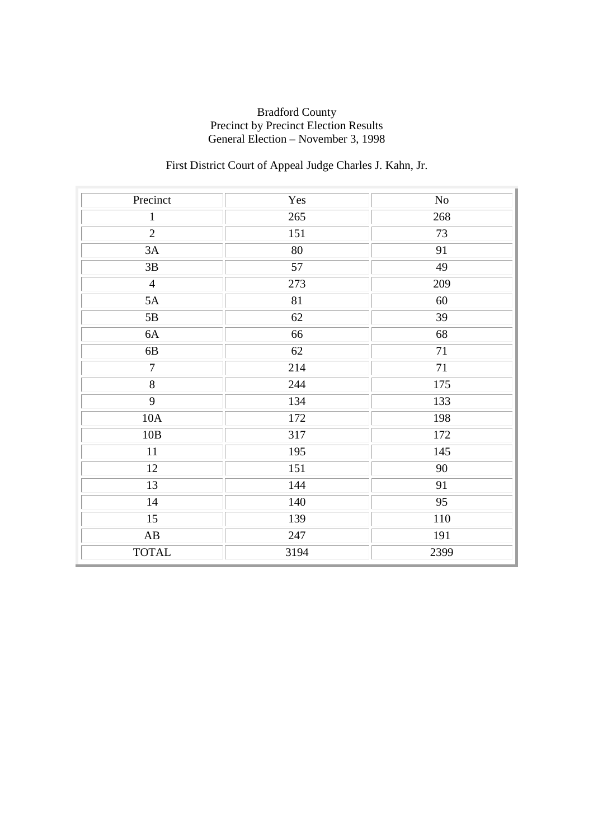## First District Court of Appeal Judge Charles J. Kahn, Jr.

| Precinct               | Yes  | $\rm No$        |
|------------------------|------|-----------------|
| $\mathbf{1}$           | 265  | 268             |
| $\overline{2}$         | 151  | 73              |
| 3A                     | 80   | 91              |
| 3B                     | 57   | 49              |
| $\overline{4}$         | 273  | 209             |
| 5A                     | 81   | 60              |
| 5B                     | 62   | $\overline{39}$ |
| 6A                     | 66   | 68              |
| $6\mathrm{B}$          | 62   | 71              |
| $\overline{7}$         | 214  | $\overline{71}$ |
| $\overline{8}$         | 244  | 175             |
| $\overline{9}$         | 134  | 133             |
| 10A                    | 172  | 198             |
| 10B                    | 317  | 172             |
| 11                     | 195  | 145             |
| 12                     | 151  | 90              |
| 13                     | 144  | 91              |
| 14                     | 140  | 95              |
| $\overline{15}$        | 139  | 110             |
| $\mathbf{A}\mathbf{B}$ | 247  | 191             |
| <b>TOTAL</b>           | 3194 | 2399            |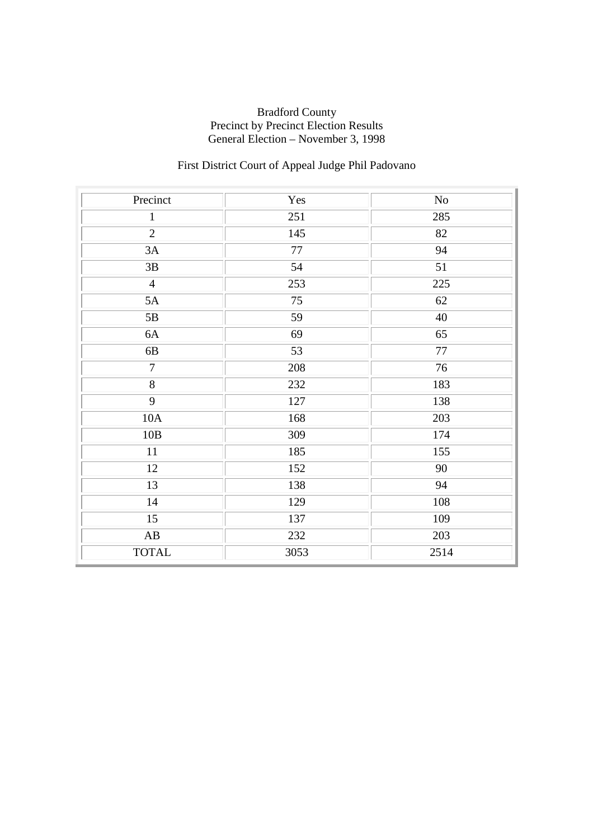## First District Court of Appeal Judge Phil Padovano

| Precinct               | Yes  | $\rm No$        |
|------------------------|------|-----------------|
| $\mathbf{1}$           | 251  | 285             |
| $\overline{2}$         | 145  | 82              |
| 3A                     | 77   | 94              |
| 3B                     | 54   | 51              |
| $\overline{4}$         | 253  | 225             |
| 5A                     | 75   | 62              |
| 5B                     | 59   | 40              |
| 6A                     | 69   | 65              |
| 6B                     | 53   | $77\,$          |
| $\overline{7}$         | 208  | $\overline{76}$ |
| $\overline{8}$         | 232  | 183             |
| $\overline{9}$         | 127  | 138             |
| 10A                    | 168  | 203             |
| 10B                    | 309  | 174             |
| $11\,$                 | 185  | 155             |
| 12                     | 152  | 90              |
| 13                     | 138  | 94              |
| 14                     | 129  | 108             |
| $\overline{15}$        | 137  | 109             |
| $\mathbf{A}\mathbf{B}$ | 232  | 203             |
| <b>TOTAL</b>           | 3053 | 2514            |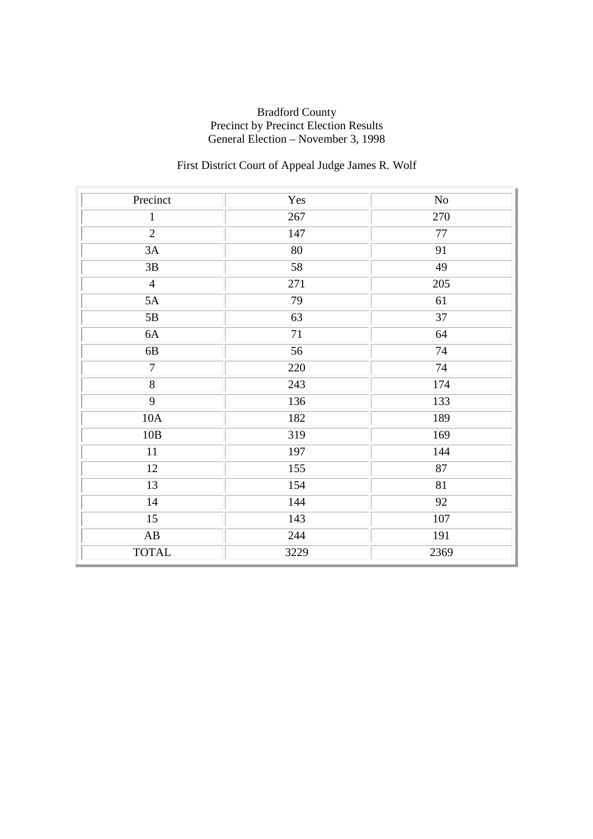## First District Court of Appeal Judge James R. Wolf

| Precinct               | Yes  | $\rm No$        |
|------------------------|------|-----------------|
| $\mathbf{1}$           | 267  | 270             |
| $\overline{2}$         | 147  | $77\,$          |
| 3A                     | 80   | 91              |
| $3\mathrm{B}$          | 58   | 49              |
| $\overline{4}$         | 271  | 205             |
| 5A                     | 79   | 61              |
| $5\mathrm{B}$          | 63   | $\overline{37}$ |
| 6A                     | 71   | 64              |
| 6B                     | 56   | 74              |
| $\overline{7}$         | 220  | 74              |
| $\overline{8}$         | 243  | 174             |
| $\overline{9}$         | 136  | 133             |
| 10A                    | 182  | 189             |
| 10B                    | 319  | 169             |
| 11                     | 197  | 144             |
| 12                     | 155  | 87              |
| 13                     | 154  | 81              |
| 14                     | 144  | 92              |
| $\overline{15}$        | 143  | 107             |
| $\mathbf{A}\mathbf{B}$ | 244  | 191             |
| <b>TOTAL</b>           | 3229 | 2369            |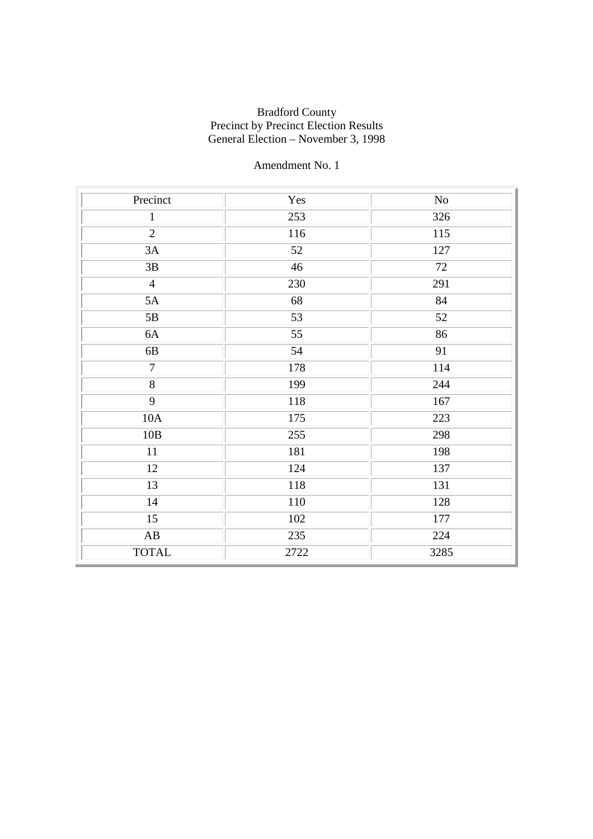| Precinct               | Yes  | No   |
|------------------------|------|------|
| $\mathbf{1}$           | 253  | 326  |
| $\overline{2}$         | 116  | 115  |
| 3A                     | 52   | 127  |
| 3B                     | 46   | 72   |
| $\overline{4}$         | 230  | 291  |
| 5A                     | 68   | 84   |
| 5B                     | 53   | 52   |
| 6A                     | 55   | 86   |
| 6B                     | 54   | 91   |
| $\overline{7}$         | 178  | 114  |
| $\overline{8}$         | 199  | 244  |
| 9                      | 118  | 167  |
| 10A                    | 175  | 223  |
| 10B                    | 255  | 298  |
| 11                     | 181  | 198  |
| 12                     | 124  | 137  |
| 13                     | 118  | 131  |
| 14                     | 110  | 128  |
| $\overline{15}$        | 102  | 177  |
| $\mathbf{A}\mathbf{B}$ | 235  | 224  |
| <b>TOTAL</b>           | 2722 | 3285 |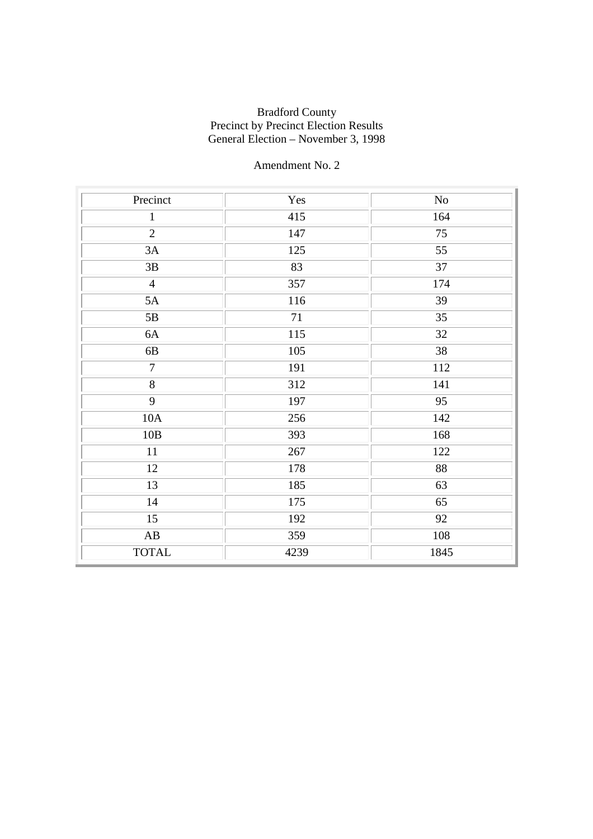| Precinct               | Yes  | No              |
|------------------------|------|-----------------|
| $\mathbf{1}$           | 415  | 164             |
| $\overline{2}$         | 147  | 75              |
| 3A                     | 125  | 55              |
| 3B                     | 83   | 37              |
| $\overline{4}$         | 357  | 174             |
| 5A                     | 116  | 39              |
| 5B                     | 71   | 35              |
| 6A                     | 115  | 32              |
| 6B                     | 105  | 38              |
| $\overline{7}$         | 191  | 112             |
| $\overline{8}$         | 312  | 141             |
| 9                      | 197  | 95              |
| 10A                    | 256  | 142             |
| 10B                    | 393  | 168             |
| 11                     | 267  | 122             |
| 12                     | 178  | 88              |
| 13                     | 185  | 63              |
| 14                     | 175  | 65              |
| $\overline{15}$        | 192  | $\overline{92}$ |
| $\mathbf{A}\mathbf{B}$ | 359  | 108             |
| <b>TOTAL</b>           | 4239 | 1845            |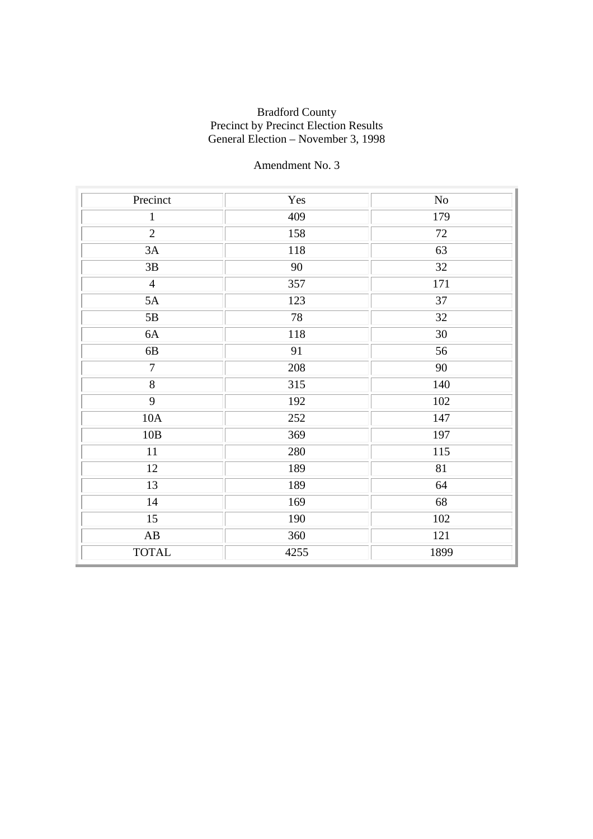| Precinct               | Yes  | $\rm No$ |
|------------------------|------|----------|
| $\mathbf{1}$           | 409  | 179      |
| $\overline{2}$         | 158  | 72       |
| 3A                     | 118  | 63       |
| 3B                     | 90   | 32       |
| $\overline{4}$         | 357  | 171      |
| 5A                     | 123  | 37       |
| 5B                     | 78   | 32       |
| 6A                     | 118  | 30       |
| 6B                     | 91   | 56       |
| $\overline{7}$         | 208  | 90       |
| $\overline{8}$         | 315  | 140      |
| 9                      | 192  | 102      |
| 10A                    | 252  | 147      |
| 10B                    | 369  | 197      |
| 11                     | 280  | 115      |
| 12                     | 189  | 81       |
| 13                     | 189  | 64       |
| 14                     | 169  | 68       |
| $\overline{15}$        | 190  | 102      |
| $\mathbf{A}\mathbf{B}$ | 360  | 121      |
| <b>TOTAL</b>           | 4255 | 1899     |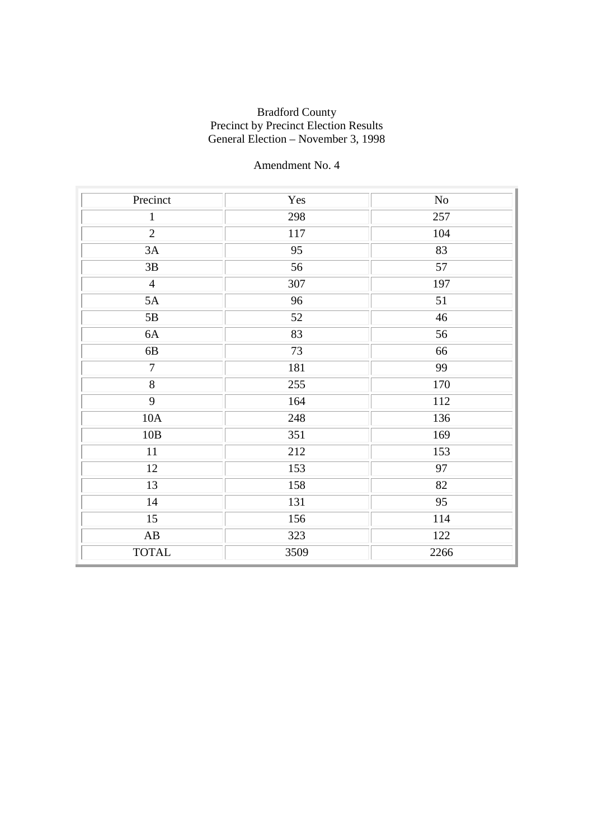| Precinct               | Yes  | $\rm No$ |
|------------------------|------|----------|
| $\mathbf{1}$           | 298  | 257      |
| $\overline{2}$         | 117  | 104      |
| 3A                     | 95   | 83       |
| $3\mathrm{B}$          | 56   | 57       |
| $\overline{4}$         | 307  | 197      |
| 5A                     | 96   | 51       |
| 5B                     | 52   | 46       |
| 6A                     | 83   | 56       |
| 6B                     | 73   | 66       |
| $\overline{7}$         | 181  | 99       |
| $\overline{8}$         | 255  | 170      |
| 9                      | 164  | 112      |
| 10A                    | 248  | 136      |
| 10B                    | 351  | 169      |
| 11                     | 212  | 153      |
| $\overline{12}$        | 153  | 97       |
| 13                     | 158  | 82       |
| 14                     | 131  | 95       |
| $\overline{15}$        | 156  | 114      |
| $\mathbf{A}\mathbf{B}$ | 323  | 122      |
| <b>TOTAL</b>           | 3509 | 2266     |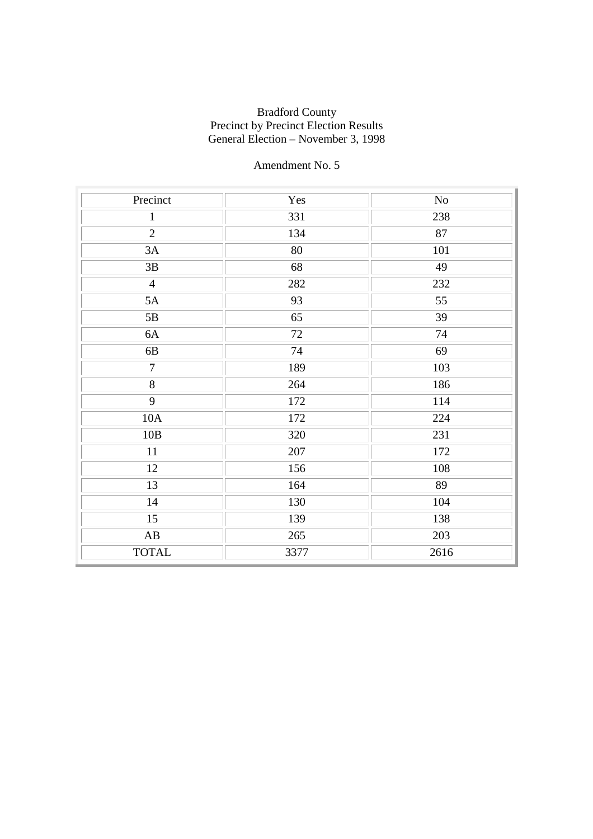| Precinct               | Yes  | $\rm No$ |
|------------------------|------|----------|
| $\mathbf{1}$           | 331  | 238      |
| $\overline{2}$         | 134  | 87       |
| 3A                     | 80   | 101      |
| 3B                     | 68   | 49       |
| $\overline{4}$         | 282  | 232      |
| 5A                     | 93   | 55       |
| $5\mathrm{B}$          | 65   | 39       |
| 6A                     | 72   | 74       |
| 6B                     | 74   | 69       |
| $\overline{7}$         | 189  | 103      |
| $\overline{8}$         | 264  | 186      |
| 9                      | 172  | 114      |
| 10A                    | 172  | 224      |
| 10B                    | 320  | 231      |
| $11\,$                 | 207  | 172      |
| 12                     | 156  | 108      |
| 13                     | 164  | 89       |
| 14                     | 130  | 104      |
| $\overline{15}$        | 139  | 138      |
| $\mathbf{A}\mathbf{B}$ | 265  | 203      |
| <b>TOTAL</b>           | 3377 | 2616     |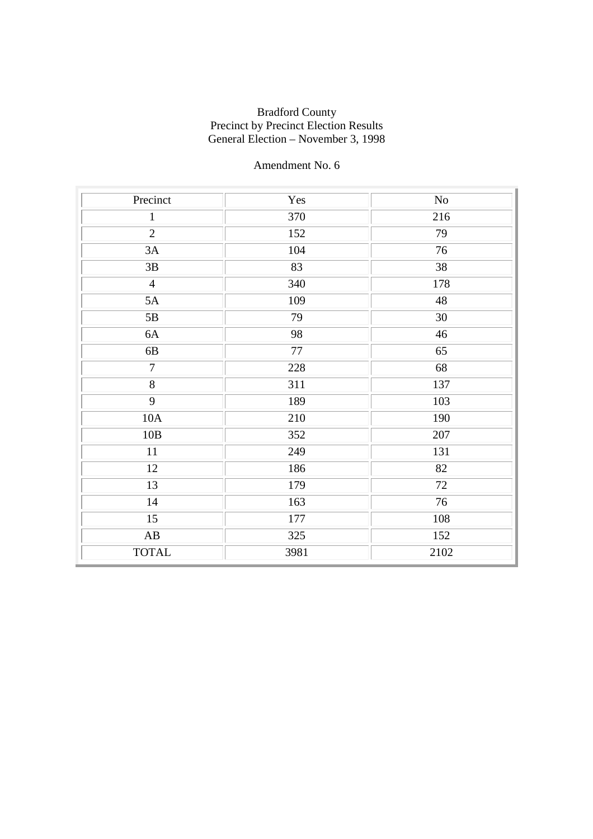| Precinct        | Yes  | No   |
|-----------------|------|------|
| $\mathbf{1}$    | 370  | 216  |
| $\overline{2}$  | 152  | 79   |
| 3A              | 104  | 76   |
| 3B              | 83   | 38   |
| $\overline{4}$  | 340  | 178  |
| 5A              | 109  | 48   |
| 5B              | 79   | 30   |
| 6A              | 98   | 46   |
| 6B              | 77   | 65   |
| $\overline{7}$  | 228  | 68   |
| $\overline{8}$  | 311  | 137  |
| 9               | 189  | 103  |
| 10A             | 210  | 190  |
| 10B             | 352  | 207  |
| $11\,$          | 249  | 131  |
| 12              | 186  | 82   |
| 13              | 179  | 72   |
| 14              | 163  | 76   |
| $\overline{15}$ | 177  | 108  |
| AB              | 325  | 152  |
| <b>TOTAL</b>    | 3981 | 2102 |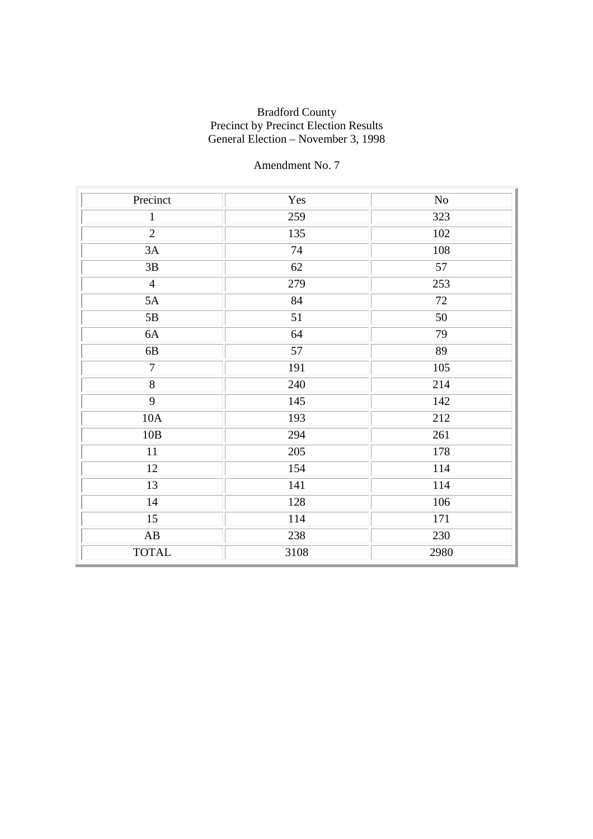| Precinct               | Yes  | No   |
|------------------------|------|------|
| $\mathbf{1}$           | 259  | 323  |
| $\overline{2}$         | 135  | 102  |
| 3A                     | 74   | 108  |
| 3B                     | 62   | 57   |
| $\overline{4}$         | 279  | 253  |
| 5A                     | 84   | 72   |
| 5B                     | 51   | 50   |
| 6A                     | 64   | 79   |
| 6B                     | 57   | 89   |
| $\overline{7}$         | 191  | 105  |
| $\overline{8}$         | 240  | 214  |
| 9                      | 145  | 142  |
| 10A                    | 193  | 212  |
| 10B                    | 294  | 261  |
| 11                     | 205  | 178  |
| 12                     | 154  | 114  |
| 13                     | 141  | 114  |
| 14                     | 128  | 106  |
| $\overline{15}$        | 114  | 171  |
| $\mathbf{A}\mathbf{B}$ | 238  | 230  |
| <b>TOTAL</b>           | 3108 | 2980 |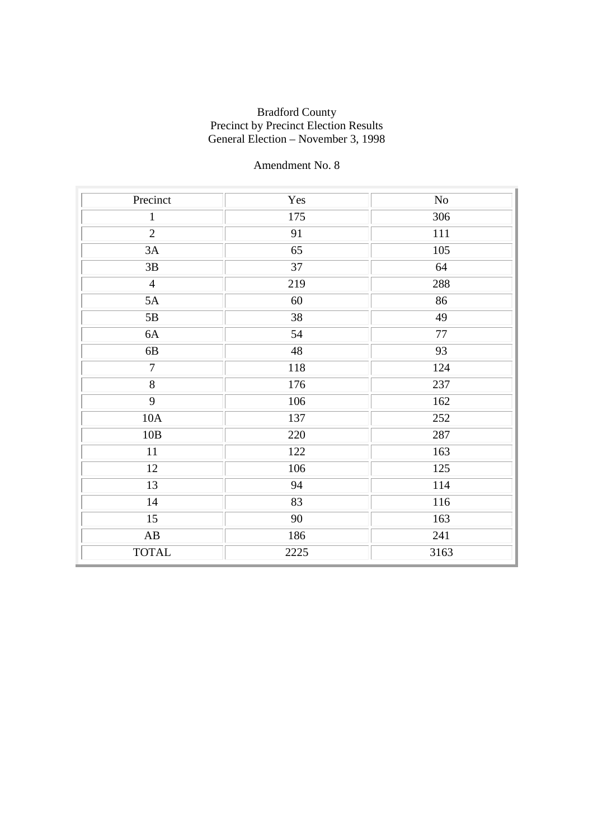| Precinct               | Yes  | $\rm No$ |
|------------------------|------|----------|
| $\mathbf{1}$           | 175  | 306      |
| $\overline{2}$         | 91   | 111      |
| 3A                     | 65   | 105      |
| 3B                     | 37   | 64       |
| $\overline{4}$         | 219  | 288      |
| 5A                     | 60   | 86       |
| 5B                     | 38   | 49       |
| 6A                     | 54   | $77\,$   |
| 6B                     | 48   | 93       |
| $\overline{7}$         | 118  | 124      |
| $\overline{8}$         | 176  | 237      |
| 9                      | 106  | 162      |
| 10A                    | 137  | 252      |
| 10B                    | 220  | 287      |
| $11\,$                 | 122  | 163      |
| 12                     | 106  | 125      |
| 13                     | 94   | 114      |
| 14                     | 83   | 116      |
| $\overline{15}$        | 90   | 163      |
| $\mathbf{A}\mathbf{B}$ | 186  | 241      |
| <b>TOTAL</b>           | 2225 | 3163     |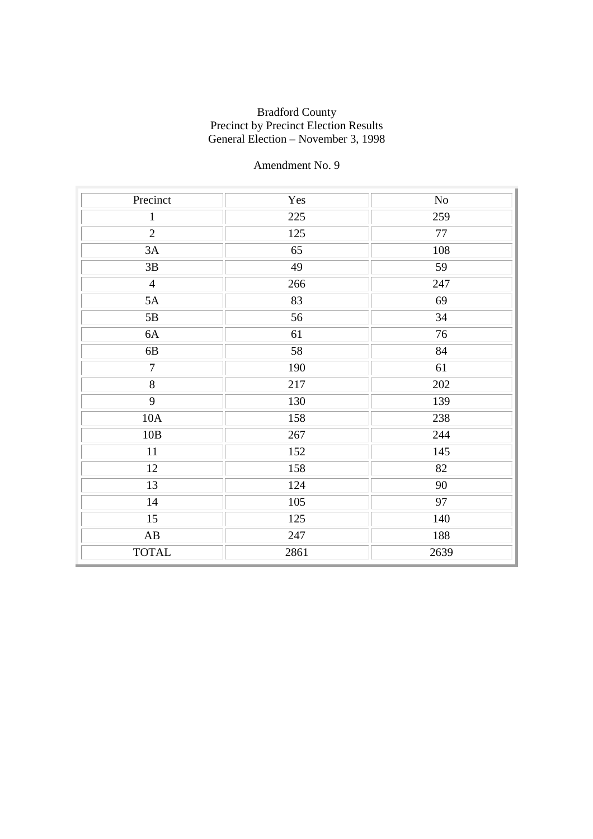| Precinct               | Yes  | $\rm No$ |
|------------------------|------|----------|
| $\mathbf{1}$           | 225  | 259      |
| $\overline{2}$         | 125  | 77       |
| 3A                     | 65   | 108      |
| 3B                     | 49   | 59       |
| $\overline{4}$         | 266  | 247      |
| 5A                     | 83   | 69       |
| 5B                     | 56   | 34       |
| 6A                     | 61   | 76       |
| 6B                     | 58   | 84       |
| $\overline{7}$         | 190  | 61       |
| $\overline{8}$         | 217  | 202      |
| 9                      | 130  | 139      |
| 10A                    | 158  | 238      |
| 10B                    | 267  | 244      |
| 11                     | 152  | 145      |
| 12                     | 158  | 82       |
| 13                     | 124  | 90       |
| 14                     | 105  | 97       |
| $\overline{15}$        | 125  | 140      |
| $\mathbf{A}\mathbf{B}$ | 247  | 188      |
| <b>TOTAL</b>           | 2861 | 2639     |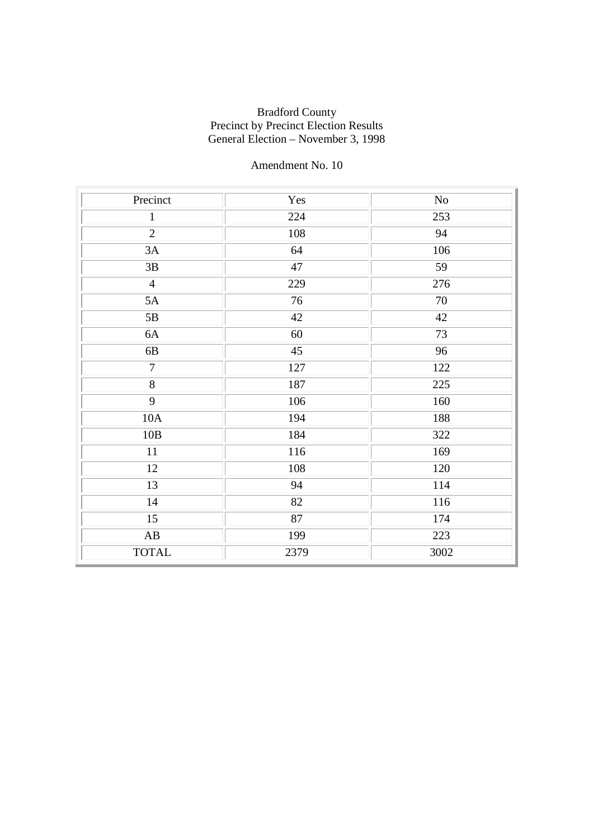| Precinct               | Yes  | No   |
|------------------------|------|------|
| $\mathbf{1}$           | 224  | 253  |
| $\overline{2}$         | 108  | 94   |
| 3A                     | 64   | 106  |
| 3B                     | 47   | 59   |
| $\overline{4}$         | 229  | 276  |
| 5A                     | 76   | 70   |
| $5\mathrm{B}$          | 42   | 42   |
| 6A                     | 60   | 73   |
| 6B                     | 45   | 96   |
| $\overline{7}$         | 127  | 122  |
| $\overline{8}$         | 187  | 225  |
| 9                      | 106  | 160  |
| 10A                    | 194  | 188  |
| 10B                    | 184  | 322  |
| 11                     | 116  | 169  |
| 12                     | 108  | 120  |
| 13                     | 94   | 114  |
| 14                     | 82   | 116  |
| $\overline{15}$        | 87   | 174  |
| $\mathbf{A}\mathbf{B}$ | 199  | 223  |
| <b>TOTAL</b>           | 2379 | 3002 |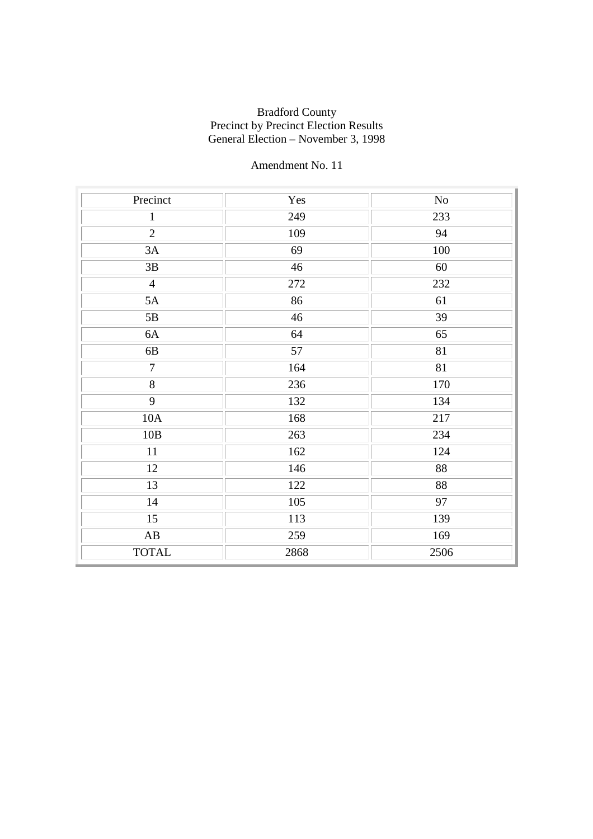| Precinct               | Yes  | No              |
|------------------------|------|-----------------|
| $\mathbf{1}$           | 249  | 233             |
| $\overline{2}$         | 109  | 94              |
| 3A                     | 69   | 100             |
| 3B                     | 46   | 60              |
| $\overline{4}$         | 272  | 232             |
| 5A                     | 86   | 61              |
| $5\mathrm{B}$          | 46   | 39              |
| 6A                     | 64   | 65              |
| 6B                     | 57   | 81              |
| $\overline{7}$         | 164  | $\overline{81}$ |
| $\overline{8}$         | 236  | 170             |
| 9                      | 132  | 134             |
| 10A                    | 168  | 217             |
| 10B                    | 263  | 234             |
| 11                     | 162  | 124             |
| 12                     | 146  | 88              |
| 13                     | 122  | 88              |
| $14$                   | 105  | 97              |
| 15                     | 113  | 139             |
| $\mathbf{A}\mathbf{B}$ | 259  | 169             |
| <b>TOTAL</b>           | 2868 | 2506            |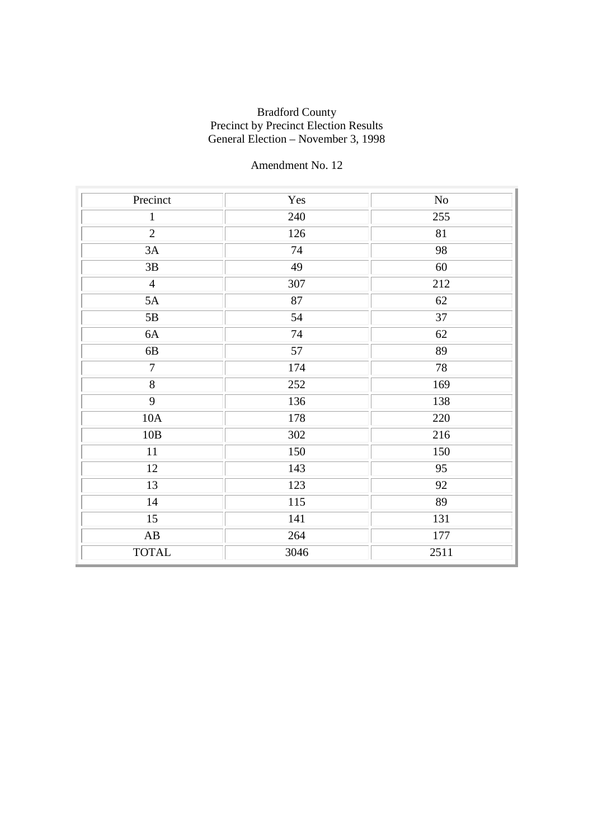| Precinct               | Yes  | N <sub>o</sub> |
|------------------------|------|----------------|
| $\mathbf{1}$           | 240  | 255            |
| $\overline{2}$         | 126  | 81             |
| 3A                     | 74   | 98             |
| 3B                     | 49   | 60             |
| $\overline{4}$         | 307  | 212            |
| 5A                     | 87   | 62             |
| $5\mathrm{B}$          | 54   | 37             |
| 6A                     | 74   | 62             |
| 6B                     | 57   | 89             |
| $\overline{7}$         | 174  | 78             |
| $\overline{8}$         | 252  | 169            |
| 9                      | 136  | 138            |
| 10A                    | 178  | 220            |
| 10B                    | 302  | 216            |
| 11                     | 150  | 150            |
| 12                     | 143  | 95             |
| 13                     | 123  | 92             |
| $14$                   | 115  | 89             |
| 15                     | 141  | 131            |
| $\mathbf{A}\mathbf{B}$ | 264  | 177            |
| <b>TOTAL</b>           | 3046 | 2511           |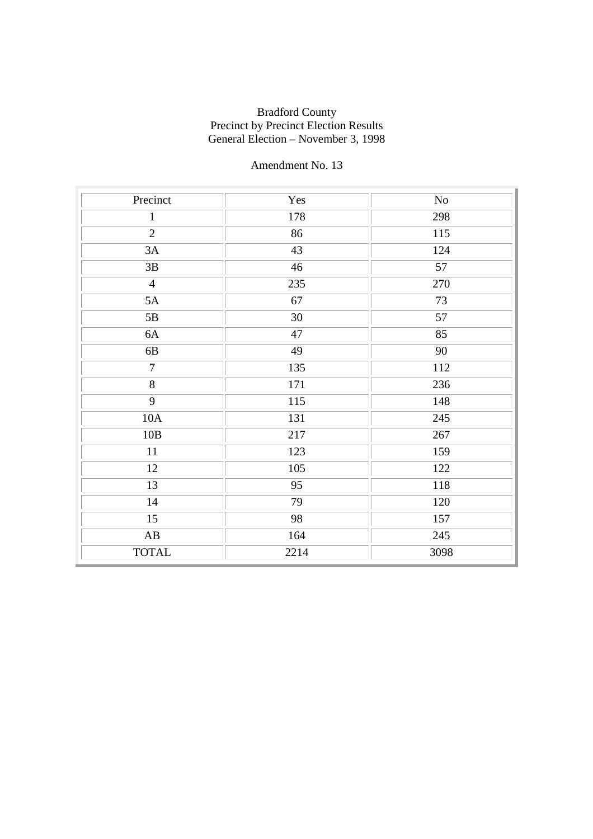| Precinct               | Yes  | No   |
|------------------------|------|------|
| $\mathbf{1}$           | 178  | 298  |
| $\overline{2}$         | 86   | 115  |
| 3A                     | 43   | 124  |
| 3B                     | 46   | 57   |
| $\overline{4}$         | 235  | 270  |
| 5A                     | 67   | 73   |
| 5B                     | 30   | 57   |
| 6A                     | 47   | 85   |
| 6B                     | 49   | 90   |
| $\overline{7}$         | 135  | 112  |
| $\overline{8}$         | 171  | 236  |
| 9                      | 115  | 148  |
| 10A                    | 131  | 245  |
| 10B                    | 217  | 267  |
| 11                     | 123  | 159  |
| 12                     | 105  | 122  |
| 13                     | 95   | 118  |
| $14$                   | 79   | 120  |
| 15                     | 98   | 157  |
| $\mathbf{A}\mathbf{B}$ | 164  | 245  |
| <b>TOTAL</b>           | 2214 | 3098 |